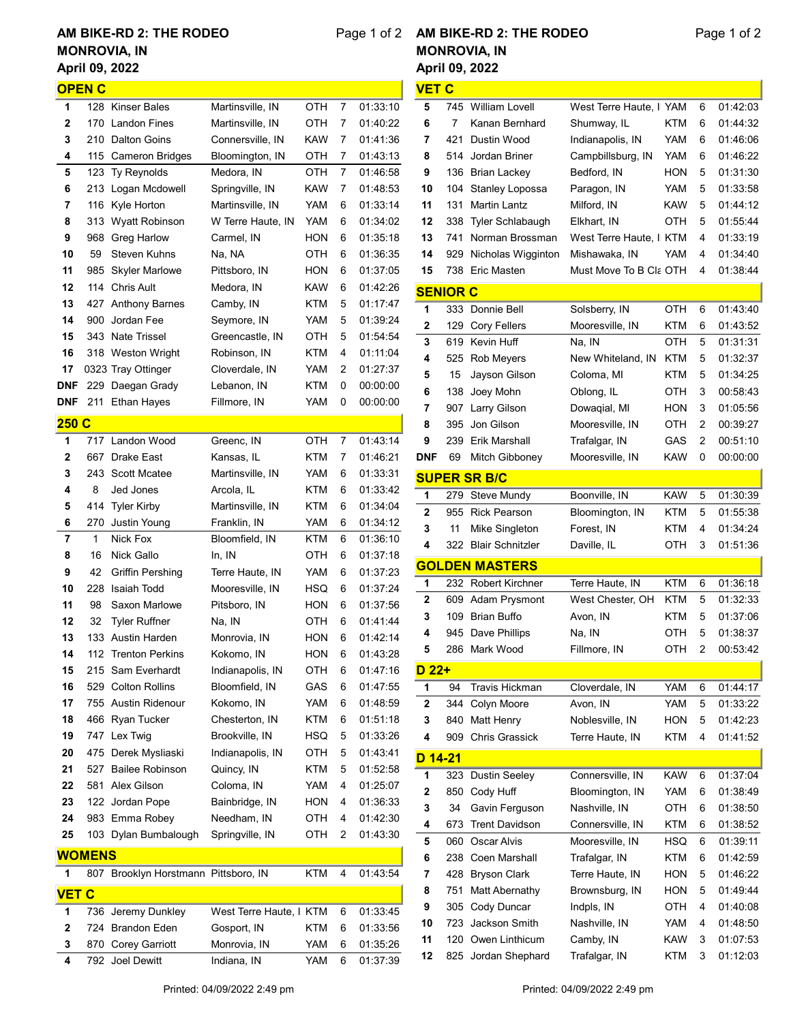## April 09, 2022 AM BIKE-RD 2: THE RODEO MONROVIA, IN

## Page 1 of 2 April 09, 2022 AM BIKE-RD 2: THE RODEO MONROVIA, IN

VET C

|               | <b>OPEN C</b> |                                      |                         |            |   |          |
|---------------|---------------|--------------------------------------|-------------------------|------------|---|----------|
| 1             |               | 128 Kinser Bales                     | Martinsville, IN        | отн        | 7 | 01:33:10 |
| 2             | 170           | <b>Landon Fines</b>                  | Martinsville, IN        | отн        | 7 | 01:40:22 |
| 3             | 210           | Dalton Goins                         | Connersville, IN        | KAW        | 7 | 01:41:36 |
| 4             | 115           | <b>Cameron Bridges</b>               | Bloomington, IN         | отн        | 7 | 01:43:13 |
| 5             | 123           | Ty Reynolds                          | Medora, IN              | отн        | 7 | 01:46:58 |
| 6             | 213           | Logan Mcdowell                       | Springville, IN         | KAW        | 7 | 01:48:53 |
| 7             | 116           | Kyle Horton                          | Martinsville, IN        | YAM        | 6 | 01:33:14 |
| 8             | 313           | <b>Wyatt Robinson</b>                | W Terre Haute, IN       | YAM        | 6 | 01:34:02 |
| 9             | 968           | <b>Greg Harlow</b>                   | Carmel, IN              | HON        | 6 | 01:35:18 |
| 10            | 59            | Steven Kuhns                         | Na, NA                  | отн        | 6 | 01:36:35 |
| 11            |               | 985 Skyler Marlowe                   | Pittsboro, IN           | HON        | 6 | 01:37:05 |
| 12            |               | 114 Chris Ault                       | Medora, IN              | KAW        | 6 | 01:42:26 |
| 13            | 427           | <b>Anthony Barnes</b>                | Camby, IN               | KTM        | 5 | 01:17:47 |
| 14            | 900           | Jordan Fee                           | Seymore, IN             | YAM        | 5 | 01:39:24 |
| 15            | 343           | <b>Nate Trissel</b>                  | Greencastle, IN         | отн        | 5 | 01:54:54 |
| 16            | 318           | Weston Wright                        | Robinson, IN            | KTM        | 4 | 01:11:04 |
| 17            |               | 0323 Tray Ottinger                   | Cloverdale, IN          | YAM        | 2 | 01:27:37 |
| DNF           | 229           | Daegan Grady                         | Lebanon, IN             | KTM        | 0 | 00:00:00 |
| DNF           | 211           | <b>Ethan Hayes</b>                   | Fillmore, IN            | YAM        | 0 | 00:00:00 |
|               |               |                                      |                         |            |   |          |
| <u> 250 C</u> |               |                                      |                         |            |   |          |
| 1             | 717           | Landon Wood                          | Greenc, IN              | отн        | 7 | 01:43:14 |
| 2             | 667           | <b>Drake East</b>                    | Kansas, IL              | KTM        | 7 | 01:46:21 |
| 3             |               | 243 Scott Mcatee                     | Martinsville, IN        | YAM        | 6 | 01:33:31 |
| 4             | 8             | Jed Jones                            | Arcola, IL              | KTM        | 6 | 01:33:42 |
| 5             |               | 414 Tyler Kirby                      | Martinsville, IN        | KTM        | 6 | 01:34:04 |
| 6             | 270           | Justin Young                         | Franklin, IN            | YAM        | 6 | 01:34:12 |
| 7             | 1             | Nick Fox                             | Bloomfield, IN          | KTM        | 6 | 01:36:10 |
| 8             | 16            | Nick Gallo                           | In, IN                  | отн        | 6 | 01:37:18 |
| 9             | 42            | Griffin Pershing                     | Terre Haute, IN         | YAM        | 6 | 01:37:23 |
| 10            | 228           | Isaiah Todd                          | Mooresville. IN         | HSQ.       | 6 | 01:37:24 |
| 11            | 98            | Saxon Marlowe                        | Pitsboro, IN            | HON        | 6 | 01:37:56 |
| 12            | 32            | <b>Tyler Ruffner</b>                 | Na, IN                  | отн        | 6 | 01:41:44 |
| 13            |               | 133 Austin Harden                    | Monrovia, IN            | HON        | 6 | 01:42:14 |
| 14            | 112           | <b>Trenton Perkins</b>               | Kokomo, IN              | <b>HON</b> | 6 | 01:43:28 |
| 15            | 215           | Sam Everhardt                        | Indianapolis, IN        | OTH        | 6 | 01:47:16 |
| 16            | 529           | <b>Colton Rollins</b>                | Bloomfield, IN          | GAS        | 6 | 01:47:55 |
| 17            | 755           | <b>Austin Ridenour</b>               | Kokomo, IN              | YAM        | 6 | 01:48:59 |
| 18            | 466           | Ryan Tucker                          | Chesterton, IN          | KTM        | 6 | 01:51:18 |
| 19            | 747           | Lex Twig                             | Brookville, IN          | HSQ        | 5 | 01:33:26 |
| 20            | 475           | Derek Mysliaski                      | Indianapolis, IN        | отн        | 5 | 01:43:41 |
| 21            | 527           | <b>Bailee Robinson</b>               | Quincy, IN              | KTM        | 5 | 01:52:58 |
| 22            | 581           | Alex Gilson                          | Coloma, IN              | YAM        | 4 | 01:25:07 |
| 23            | 122           | Jordan Pope                          | Bainbridge, IN          | HON        | 4 | 01:36:33 |
| 24            | 983           | Emma Robey                           | Needham, IN             | OTH        | 4 | 01:42:30 |
| 25            |               | 103 Dylan Bumbalough                 | Springville, IN         | отн        | 2 | 01:43:30 |
|               | <b>WOMENS</b> |                                      |                         |            |   |          |
|               |               |                                      |                         |            | 4 |          |
| 1             |               | 807 Brooklyn Horstmann Pittsboro, IN |                         | KTM        |   | 01:43:54 |
| VET C         |               |                                      |                         |            |   |          |
| 1             | 736           | Jeremy Dunkley                       | West Terre Haute, I KTM |            | 6 | 01:33:45 |
| 2             | 724           | <b>Brandon Eden</b>                  | Gosport, IN             | KTM        | 6 | 01:33:56 |
| 3             | 870           | <b>Corey Garriott</b>                | Monrovia, IN            | YAM        | 6 | 01:35:26 |
| 4             | 792           | <b>Joel Dewitt</b>                   | Indiana, IN             | YAM        | 6 | 01:37:39 |

 136 Brian Lackey Bedford, IN HON 5 01:31:30 104 Stanley Lopossa Paragon, IN YAM 5 01:33:58 131 Martin Lantz Milford, IN KAW 5 01:44:12 12 338 Tyler Schlabaugh Elkhart, IN OTH 5 01:55:44 13 741 Norman Brossman West Terre Haute, I KTM 4 01:33:19 929 Nicholas Wigginton Mishawaka, IN YAM 4 01:34:40 15 738 Eric Masten Must Move To B Cla OTH 4 01:38:44 SENIOR C 333 Donnie Bell Solsberry, IN OTH 6 01:43:40 129 Cory Fellers Mooresville, IN KTM 6 01:43:52 619 Kevin Huff Na, IN OTH 5 01:31:31 525 Rob Meyers New Whiteland, IN KTM 5 01:32:37 15 Jayson Gilson Coloma, MI KTM 5 01:34:25 138 Joey Mohn Oblong, IL OTH 3 00:58:43 907 Larry Gilson Dowaqial, MI HON 3 01:05:56 8 395 Jon Gilson Mooresville, IN OTH 2 00:39:27 239 Erik Marshall Trafalgar, IN GAS 2 00:51:10 DNF 69 Mitch Gibboney Mooresville, IN KAW 0 00:00:00 SUPER SR B/C 279 Steve Mundy Boonville, IN KAW 5 01:30:39 955 Rick Pearson Bloomington, IN KTM 5 01:55:38 3 11 Mike Singleton Forest, IN KTM 4 01:34:24 322 Blair Schnitzler Daville, IL OTH 3 01:51:36 GOLDEN MASTERS 232 Robert Kirchner Terre Haute, IN KTM 6 01:36:18 609 Adam Prysmont West Chester, OH KTM 5 01:32:33 109 Brian Buffo Avon, IN KTM 5 01:37:06 945 Dave Phillips Na, IN OTH 5 01:38:37 286 Mark Wood Fillmore, IN OTH 2 00:53:42 D 22+ 94 Travis Hickman Cloverdale, IN YAM 6 01:44:17 344 Colyn Moore Avon, IN YAM 5 01:33:22 840 Matt Henry Noblesville, IN HON 5 01:42:23 909 Chris Grassick Terre Haute, IN KTM 4 01:41:52 D 14-21 323 Dustin Seeley Connersville, IN KAW 6 01:37:04 2 850 Cody Huff Bloomington, IN YAM 6 01:38:49 34 Gavin Ferguson Nashville, IN OTH 6 01:38:50 673 Trent Davidson Connersville, IN KTM 6 01:38:52 060 Oscar Alvis Mooresville, IN HSQ 6 01:39:11 238 Coen Marshall Trafalgar, IN KTM 6 01:42:59 428 Bryson Clark Terre Haute, IN HON 5 01:46:22 751 Matt Abernathy Brownsburg, IN HON 5 01:49:44 305 Cody Duncar Indpls, IN OTH 4 01:40:08 723 Jackson Smith Nashville, IN YAM 4 01:48:50 120 Owen Linthicum Camby, IN KAW 3 01:07:53 825 Jordan Shephard Trafalgar, IN KTM 3 01:12:03

5 745 William Lovell West Terre Haute, I YAM 6 01:42:03 7 Kanan Bernhard Shumway, IL KTM 6 01:44:32 421 Dustin Wood Indianapolis, IN YAM 6 01:46:06 514 Jordan Briner Campbillsburg, IN YAM 6 01:46:22